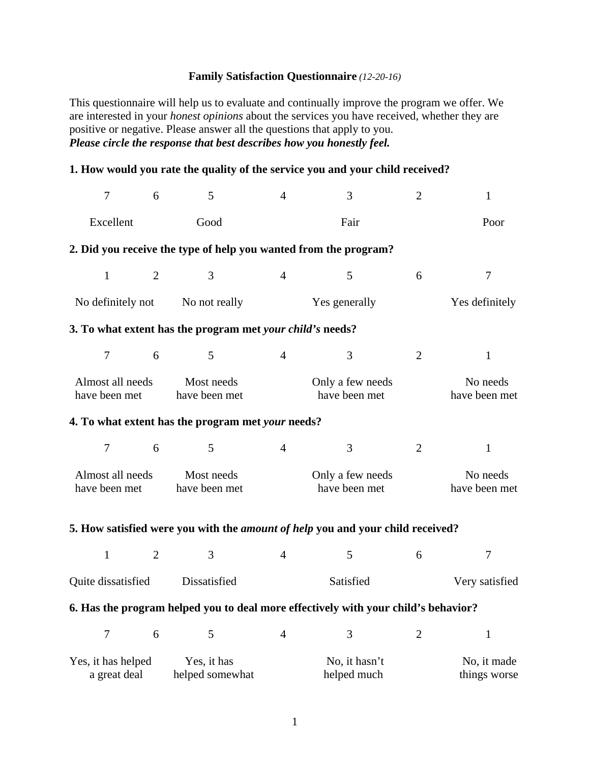## **Family Satisfaction Questionnaire** *(12-20-16)*

This questionnaire will help us to evaluate and continually improve the program we offer. We are interested in your *honest opinions* about the services you have received, whether they are positive or negative. Please answer all the questions that apply to you. *Please circle the response that best describes how you honestly feel.* 

## **1. How would you rate the quality of the service you and your child received?**

| $\overline{7}$                     | 6              | 5                                                         | $\overline{4}$                    | 3                                                                                     | $\overline{2}$ | $\mathbf{1}$                |  |
|------------------------------------|----------------|-----------------------------------------------------------|-----------------------------------|---------------------------------------------------------------------------------------|----------------|-----------------------------|--|
| Excellent<br>Good                  |                | Fair                                                      |                                   |                                                                                       | Poor           |                             |  |
|                                    |                |                                                           |                                   | 2. Did you receive the type of help you wanted from the program?                      |                |                             |  |
| $\mathbf{1}$                       | $\overline{2}$ | $\overline{3}$                                            | $\overline{4}$                    | 5                                                                                     | 6              | $\overline{7}$              |  |
| No definitely not                  |                | No not really                                             | Yes generally                     |                                                                                       |                | Yes definitely              |  |
|                                    |                | 3. To what extent has the program met your child's needs? |                                   |                                                                                       |                |                             |  |
| 7                                  | 6              | 5                                                         | $\overline{4}$                    | $\overline{3}$                                                                        | $\overline{2}$ | $\mathbf{1}$                |  |
| Almost all needs<br>have been met  |                | Most needs<br>have been met                               | Only a few needs<br>have been met |                                                                                       |                | No needs<br>have been met   |  |
|                                    |                | 4. To what extent has the program met your needs?         |                                   |                                                                                       |                |                             |  |
| 7                                  | 6              | 5                                                         | $\overline{4}$                    | 3                                                                                     | $\overline{2}$ | $\mathbf{1}$                |  |
| Almost all needs<br>have been met  |                | Most needs<br>have been met                               | Only a few needs<br>have been met |                                                                                       |                | No needs<br>have been met   |  |
|                                    |                |                                                           |                                   | 5. How satisfied were you with the <i>amount of help</i> you and your child received? |                |                             |  |
| $\mathbf{1}$                       | $\overline{2}$ | 3                                                         | $\overline{4}$                    | 5                                                                                     | 6              | $\tau$                      |  |
| Quite dissatisfied                 |                | Dissatisfied                                              | Satisfied                         |                                                                                       |                | Very satisfied              |  |
|                                    |                |                                                           |                                   | 6. Has the program helped you to deal more effectively with your child's behavior?    |                |                             |  |
| $\boldsymbol{7}$                   | 6              | 5                                                         | $\overline{4}$                    | 3                                                                                     | $\overline{2}$ | $\mathbf{1}$                |  |
| Yes, it has helped<br>a great deal |                | Yes, it has<br>helped somewhat                            |                                   | No, it hasn't<br>helped much                                                          |                | No, it made<br>things worse |  |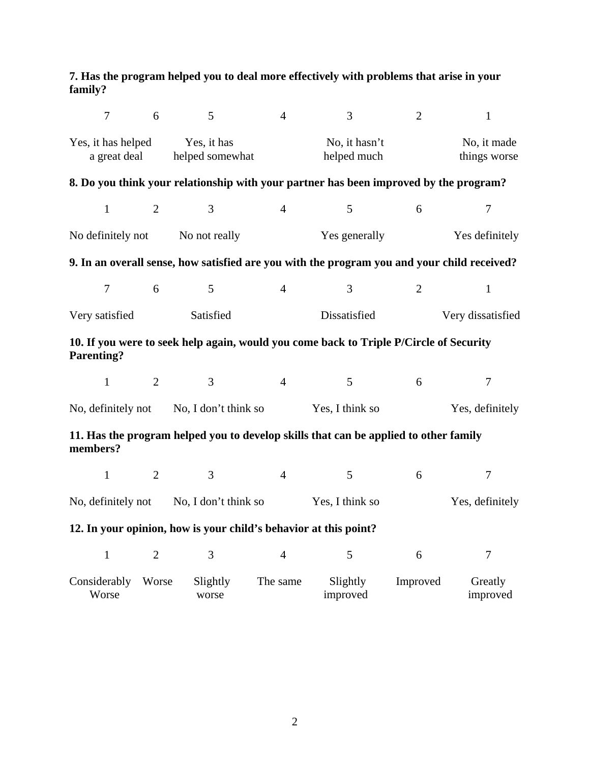## **7. Has the program helped you to deal more effectively with problems that arise in your family?**

| $\overline{7}$                             | 6                              | 5                                                                | $\overline{4}$               | 3                                                                                           | $\overline{2}$              | $\mathbf{1}$        |  |
|--------------------------------------------|--------------------------------|------------------------------------------------------------------|------------------------------|---------------------------------------------------------------------------------------------|-----------------------------|---------------------|--|
| Yes, it has helped<br>a great deal         | Yes, it has<br>helped somewhat |                                                                  | No, it hasn't<br>helped much |                                                                                             | No, it made<br>things worse |                     |  |
|                                            |                                |                                                                  |                              | 8. Do you think your relationship with your partner has been improved by the program?       |                             |                     |  |
| $\mathbf{1}$                               | $\overline{2}$                 | $\overline{3}$                                                   | $\overline{4}$               | 5                                                                                           | 6                           | 7                   |  |
| No definitely not                          |                                | No not really                                                    |                              | Yes generally                                                                               |                             | Yes definitely      |  |
|                                            |                                |                                                                  |                              | 9. In an overall sense, how satisfied are you with the program you and your child received? |                             |                     |  |
| $\tau$                                     | 6                              | $\mathfrak{S}$                                                   | $\overline{4}$               | 3                                                                                           | 2                           | $\mathbf{1}$        |  |
| Very satisfied                             | Satisfied                      |                                                                  |                              | Dissatisfied                                                                                |                             | Very dissatisfied   |  |
| <b>Parenting?</b>                          |                                |                                                                  |                              | 10. If you were to seek help again, would you come back to Triple P/Circle of Security      |                             |                     |  |
| $\mathbf{1}$                               | $\overline{2}$                 | $\overline{3}$                                                   | $\overline{4}$               | 5                                                                                           | 6                           | $\overline{7}$      |  |
| No, definitely not<br>No, I don't think so |                                | Yes, I think so                                                  |                              |                                                                                             | Yes, definitely             |                     |  |
| members?                                   |                                |                                                                  |                              | 11. Has the program helped you to develop skills that can be applied to other family        |                             |                     |  |
| $\mathbf{1}$                               | $\overline{2}$                 | 3                                                                | $\overline{4}$               | 5                                                                                           | 6                           | $\tau$              |  |
| No, definitely not No, I don't think so    |                                |                                                                  | Yes, I think so              |                                                                                             | Yes, definitely             |                     |  |
|                                            |                                | 12. In your opinion, how is your child's behavior at this point? |                              |                                                                                             |                             |                     |  |
| $\mathbf{1}$                               | $\overline{2}$                 | 3                                                                | $\overline{4}$               | 5                                                                                           | 6                           | $\overline{7}$      |  |
| Considerably<br>Worse                      | Worse                          | Slightly<br>worse                                                | The same                     | Slightly<br>improved                                                                        | Improved                    | Greatly<br>improved |  |